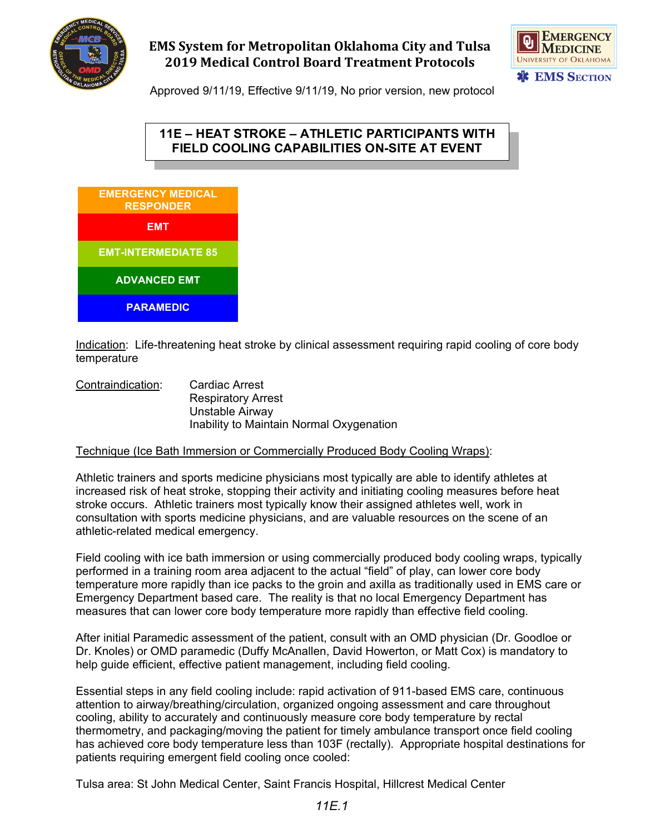

# **EMS System for Metropolitan Oklahoma City and Tulsa 2019 Medical Control Board Treatment Protocols**



Approved 9/11/19, Effective 9/11/19, No prior version, new protocol

### **11E – HEAT STROKE – ATHLETIC PARTICIPANTS WITH FIELD COOLING CAPABILITIES ON-SITE AT EVENT**



Indication: Life-threatening heat stroke by clinical assessment requiring rapid cooling of core body temperature

Contraindication: Cardiac Arrest Respiratory Arrest Unstable Airway Inability to Maintain Normal Oxygenation

#### Technique (Ice Bath Immersion or Commercially Produced Body Cooling Wraps):

Athletic trainers and sports medicine physicians most typically are able to identify athletes at increased risk of heat stroke, stopping their activity and initiating cooling measures before heat stroke occurs. Athletic trainers most typically know their assigned athletes well, work in consultation with sports medicine physicians, and are valuable resources on the scene of an athletic-related medical emergency.

Field cooling with ice bath immersion or using commercially produced body cooling wraps, typically performed in a training room area adjacent to the actual "field" of play, can lower core body temperature more rapidly than ice packs to the groin and axilla as traditionally used in EMS care or Emergency Department based care. The reality is that no local Emergency Department has measures that can lower core body temperature more rapidly than effective field cooling.

After initial Paramedic assessment of the patient, consult with an OMD physician (Dr. Goodloe or Dr. Knoles) or OMD paramedic (Duffy McAnallen, David Howerton, or Matt Cox) is mandatory to help guide efficient, effective patient management, including field cooling.

Essential steps in any field cooling include: rapid activation of 911-based EMS care, continuous attention to airway/breathing/circulation, organized ongoing assessment and care throughout cooling, ability to accurately and continuously measure core body temperature by rectal thermometry, and packaging/moving the patient for timely ambulance transport once field cooling has achieved core body temperature less than 103F (rectally). Appropriate hospital destinations for patients requiring emergent field cooling once cooled:

Tulsa area: St John Medical Center, Saint Francis Hospital, Hillcrest Medical Center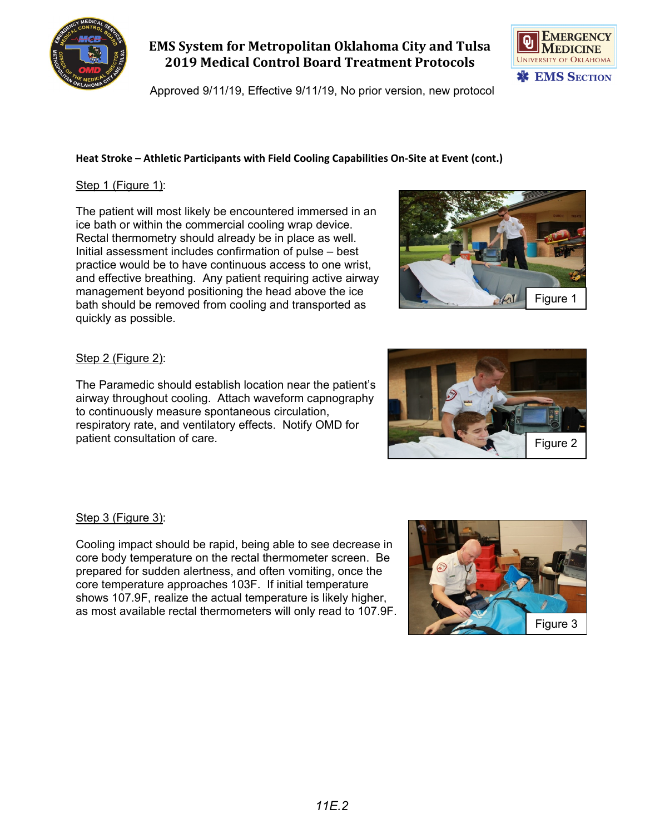

### **EMS System for Metropolitan Oklahoma City and Tulsa 2019 Medical Control Board Treatment Protocols**

Approved 9/11/19, Effective 9/11/19, No prior version, new protocol

### Step 1 (Figure 1):

The patient will most likely be encountered immersed in an ice bath or within the commercial cooling wrap device. Rectal thermometry should already be in place as well. Initial assessment includes confirmation of pulse – best practice would be to have continuous access to one wrist, and effective breathing. Any patient requiring active airway management beyond positioning the head above the ice bath should be removed from cooling and transported as quickly as possible.



#### Step 2 (Figure 2):

The Paramedic should establish location near the patient's airway throughout cooling. Attach waveform capnography to continuously measure spontaneous circulation, respiratory rate, and ventilatory effects. Notify OMD for patient consultation of care.

#### Step 3 (Figure 3):

Cooling impact should be rapid, being able to see decrease in core body temperature on the rectal thermometer screen. Be prepared for sudden alertness, and often vomiting, once the core temperature approaches 103F. If initial temperature shows 107.9F, realize the actual temperature is likely higher, as most available rectal thermometers will only read to 107.9F.